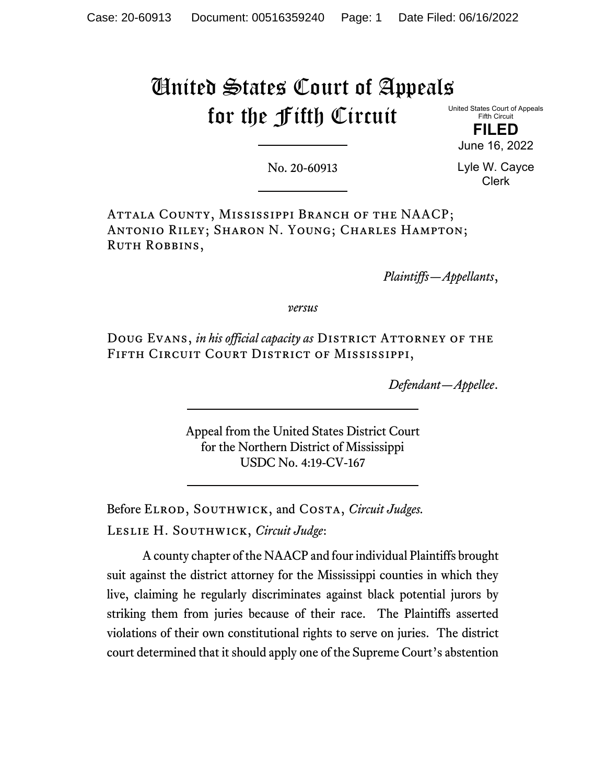# United States Court of Appeals for the Fifth Circuit

United States Court of Appeals Fifth Circuit

> **FILED** June 16, 2022

No. 20-60913

Lyle W. Cayce Clerk

Attala County, Mississippi Branch of the NAACP; Antonio Riley; Sharon N. Young; Charles Hampton; RUTH ROBBINS,

*Plaintiffs—Appellants*,

*versus*

Doug Evans, *in his official capacity as* DISTRICT ATTORNEY OF THE Fifth Circuit Court District of Mississippi,

*Defendant—Appellee*.

Appeal from the United States District Court for the Northern District of Mississippi USDC No. 4:19-CV-167

Before ELROD, SOUTHWICK, and COSTA, *Circuit Judges*. Leslie H. Southwick, *Circuit Judge*:

A county chapter of the NAACP and four individual Plaintiffs brought suit against the district attorney for the Mississippi counties in which they live, claiming he regularly discriminates against black potential jurors by striking them from juries because of their race. The Plaintiffs asserted violations of their own constitutional rights to serve on juries. The district court determined that it should apply one of the Supreme Court's abstention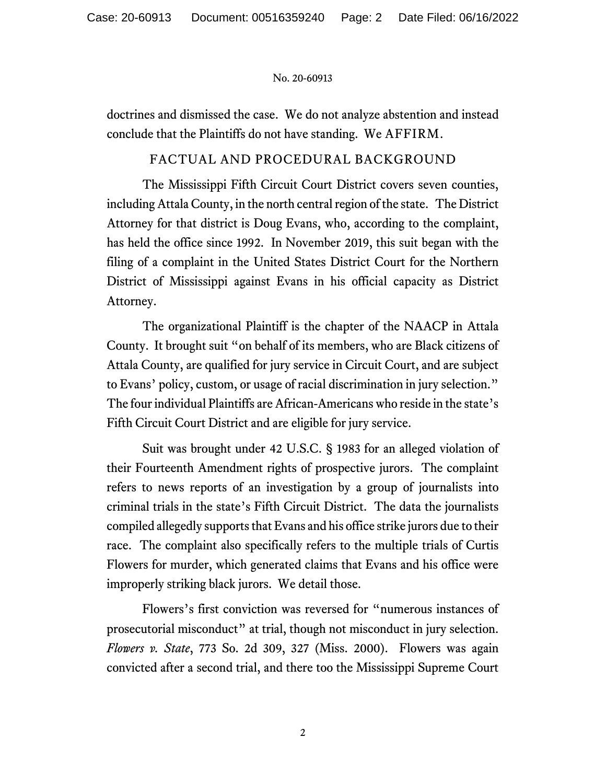doctrines and dismissed the case. We do not analyze abstention and instead conclude that the Plaintiffs do not have standing. We AFFIRM.

# FACTUAL AND PROCEDURAL BACKGROUND

The Mississippi Fifth Circuit Court District covers seven counties, including Attala County, in the north central region of the state. The District Attorney for that district is Doug Evans, who, according to the complaint, has held the office since 1992. In November 2019, this suit began with the filing of a complaint in the United States District Court for the Northern District of Mississippi against Evans in his official capacity as District Attorney.

The organizational Plaintiff is the chapter of the NAACP in Attala County. It brought suit "on behalf of its members, who are Black citizens of Attala County, are qualified for jury service in Circuit Court, and are subject to Evans' policy, custom, or usage of racial discrimination in jury selection." The four individual Plaintiffs are African-Americans who reside in the state's Fifth Circuit Court District and are eligible for jury service.

Suit was brought under 42 U.S.C. § 1983 for an alleged violation of their Fourteenth Amendment rights of prospective jurors. The complaint refers to news reports of an investigation by a group of journalists into criminal trials in the state's Fifth Circuit District. The data the journalists compiled allegedly supports that Evans and his office strike jurors due to their race. The complaint also specifically refers to the multiple trials of Curtis Flowers for murder, which generated claims that Evans and his office were improperly striking black jurors. We detail those.

Flowers's first conviction was reversed for "numerous instances of prosecutorial misconduct" at trial, though not misconduct in jury selection. *Flowers v. State*, 773 So. 2d 309, 327 (Miss. 2000). Flowers was again convicted after a second trial, and there too the Mississippi Supreme Court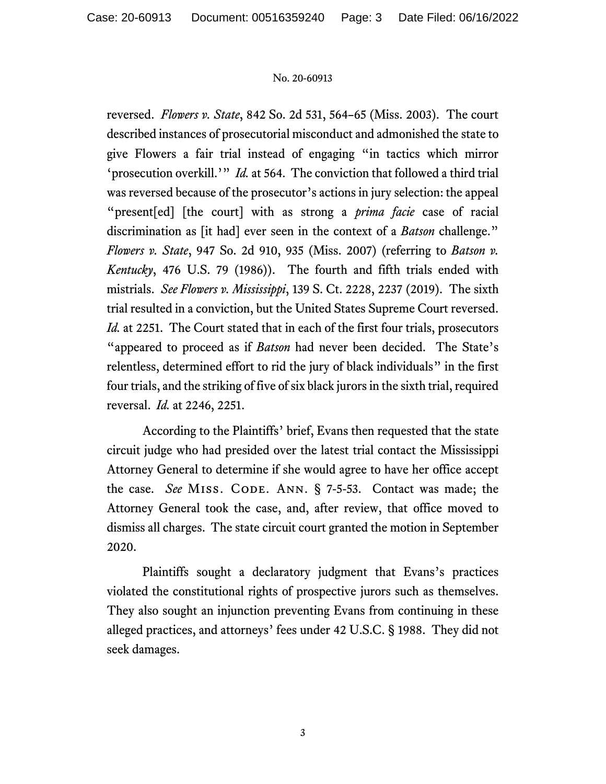reversed. *Flowers v. State*, 842 So. 2d 531, 564–65 (Miss. 2003). The court described instances of prosecutorial misconduct and admonished the state to give Flowers a fair trial instead of engaging "in tactics which mirror 'prosecution overkill.'" *Id.* at 564. The conviction that followed a third trial was reversed because of the prosecutor's actions in jury selection: the appeal "present[ed] [the court] with as strong a *prima facie* case of racial discrimination as [it had] ever seen in the context of a *Batson* challenge." *Flowers v. State*, 947 So. 2d 910, 935 (Miss. 2007) (referring to *Batson v. Kentucky*, 476 U.S. 79 (1986)). The fourth and fifth trials ended with mistrials. *See Flowers v. Mississippi*, 139 S. Ct. 2228, 2237 (2019). The sixth trial resulted in a conviction, but the United States Supreme Court reversed. *Id.* at 2251. The Court stated that in each of the first four trials, prosecutors "appeared to proceed as if *Batson* had never been decided. The State's relentless, determined effort to rid the jury of black individuals" in the first four trials, and the striking of five of six black jurors in the sixth trial, required reversal. *Id.* at 2246, 2251.

According to the Plaintiffs' brief, Evans then requested that the state circuit judge who had presided over the latest trial contact the Mississippi Attorney General to determine if she would agree to have her office accept the case. *See* MISS. CODE. ANN. § 7-5-53. Contact was made; the Attorney General took the case, and, after review, that office moved to dismiss all charges. The state circuit court granted the motion in September 2020.

Plaintiffs sought a declaratory judgment that Evans's practices violated the constitutional rights of prospective jurors such as themselves. They also sought an injunction preventing Evans from continuing in these alleged practices, and attorneys' fees under 42 U.S.C. § 1988. They did not seek damages.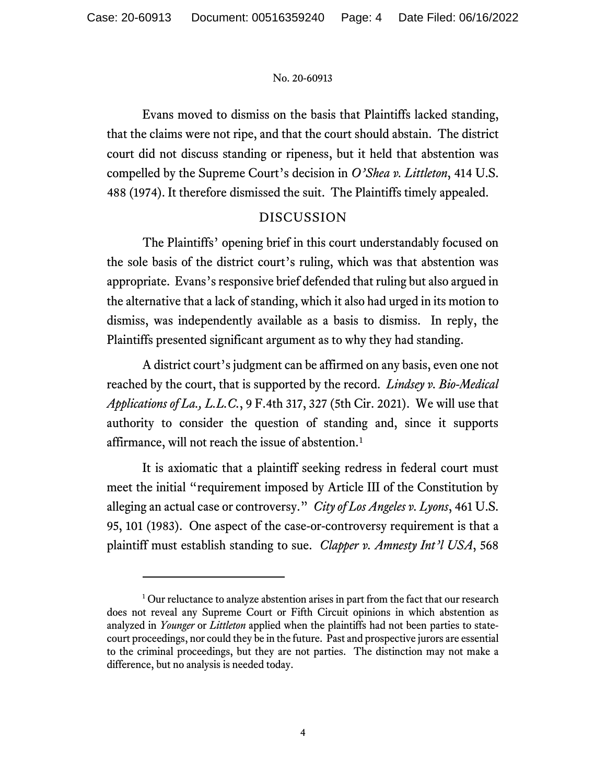Evans moved to dismiss on the basis that Plaintiffs lacked standing, that the claims were not ripe, and that the court should abstain. The district court did not discuss standing or ripeness, but it held that abstention was compelled by the Supreme Court's decision in *O'Shea v. Littleton*, 414 U.S. 488 (1974). It therefore dismissed the suit. The Plaintiffs timely appealed.

# DISCUSSION

The Plaintiffs' opening brief in this court understandably focused on the sole basis of the district court's ruling, which was that abstention was appropriate. Evans's responsive brief defended that ruling but also argued in the alternative that a lack of standing, which it also had urged in its motion to dismiss, was independently available as a basis to dismiss. In reply, the Plaintiffs presented significant argument as to why they had standing.

A district court's judgment can be affirmed on any basis, even one not reached by the court, that is supported by the record. *Lindsey v. Bio-Medical Applications of La., L.L.C.*, 9 F.4th 317, 327 (5th Cir. 2021). We will use that authority to consider the question of standing and, since it supports affirmance, will not reach the issue of abstention.<sup>[1](#page-3-0)</sup>

It is axiomatic that a plaintiff seeking redress in federal court must meet the initial "requirement imposed by Article III of the Constitution by alleging an actual case or controversy." *City of Los Angeles v. Lyons*, 461 U.S. 95, 101 (1983). One aspect of the case-or-controversy requirement is that a plaintiff must establish standing to sue. *Clapper v. Amnesty Int'l USA*, 568

<span id="page-3-0"></span><sup>&</sup>lt;sup>1</sup> Our reluctance to analyze abstention arises in part from the fact that our research does not reveal any Supreme Court or Fifth Circuit opinions in which abstention as analyzed in *Younger* or *Littleton* applied when the plaintiffs had not been parties to statecourt proceedings, nor could they be in the future. Past and prospective jurors are essential to the criminal proceedings, but they are not parties. The distinction may not make a difference, but no analysis is needed today.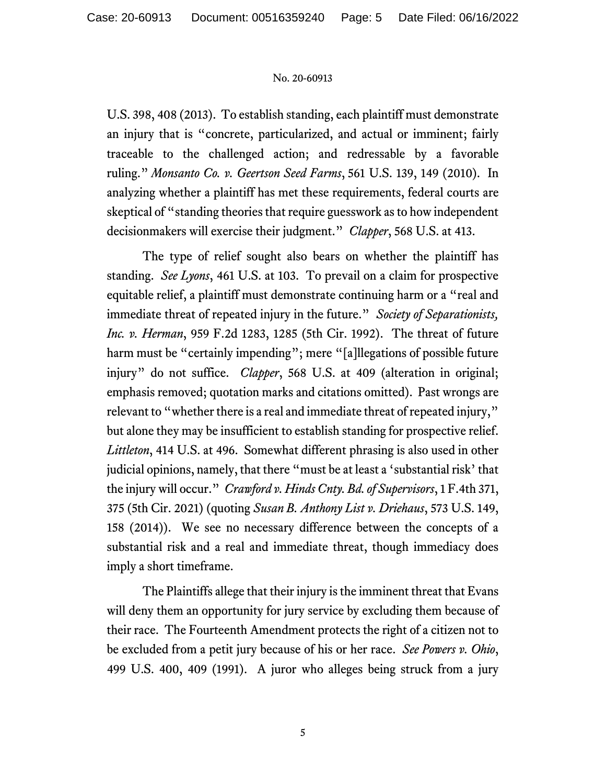U.S. 398, 408 (2013). To establish standing, each plaintiff must demonstrate an injury that is "concrete, particularized, and actual or imminent; fairly traceable to the challenged action; and redressable by a favorable ruling." *Monsanto Co. v. Geertson Seed Farms*, 561 U.S. 139, 149 (2010). In analyzing whether a plaintiff has met these requirements, federal courts are skeptical of "standing theories that require guesswork as to how independent decisionmakers will exercise their judgment." *Clapper*, 568 U.S. at 413.

The type of relief sought also bears on whether the plaintiff has standing. *See Lyons*, 461 U.S. at 103. To prevail on a claim for prospective equitable relief, a plaintiff must demonstrate continuing harm or a "real and immediate threat of repeated injury in the future." *Society of Separationists, Inc. v. Herman*, 959 F.2d 1283, 1285 (5th Cir. 1992). The threat of future harm must be "certainly impending"; mere "[a]llegations of possible future injury" do not suffice. *Clapper*, 568 U.S. at 409 (alteration in original; emphasis removed; quotation marks and citations omitted). Past wrongs are relevant to "whether there is a real and immediate threat of repeated injury," but alone they may be insufficient to establish standing for prospective relief. *Littleton*, 414 U.S. at 496. Somewhat different phrasing is also used in other judicial opinions, namely, that there "must be at least a 'substantial risk' that the injury will occur." *Crawford v. Hinds Cnty. Bd. of Supervisors*, 1 F.4th 371, 375 (5th Cir. 2021) (quoting *Susan B. Anthony List v. Driehaus*, 573 U.S. 149, 158 (2014)). We see no necessary difference between the concepts of a substantial risk and a real and immediate threat, though immediacy does imply a short timeframe.

The Plaintiffs allege that their injury is the imminent threat that Evans will deny them an opportunity for jury service by excluding them because of their race. The Fourteenth Amendment protects the right of a citizen not to be excluded from a petit jury because of his or her race. *See Powers v. Ohio*, 499 U.S. 400, 409 (1991). A juror who alleges being struck from a jury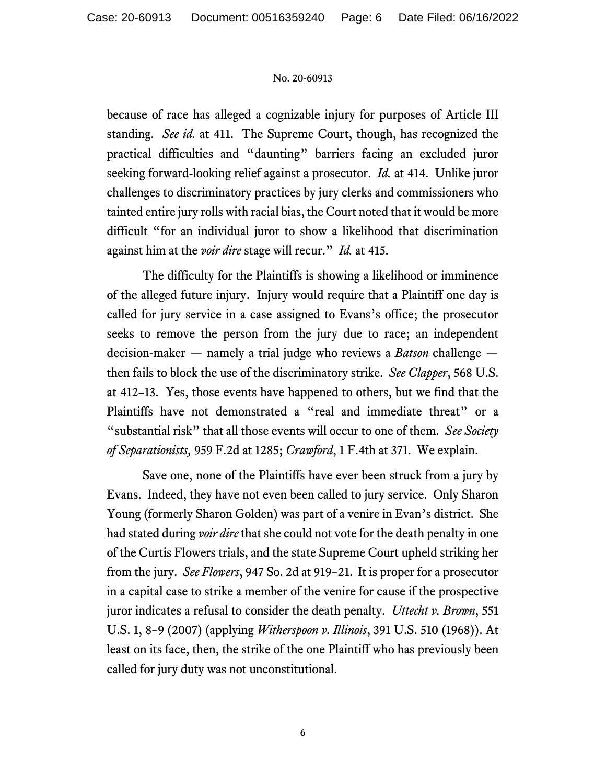because of race has alleged a cognizable injury for purposes of Article III standing. *See id.* at 411.The Supreme Court, though, has recognized the practical difficulties and "daunting" barriers facing an excluded juror seeking forward-looking relief against a prosecutor. *Id.* at 414. Unlike juror challenges to discriminatory practices by jury clerks and commissioners who tainted entire jury rolls with racial bias, the Court noted that it would be more difficult "for an individual juror to show a likelihood that discrimination against him at the *voir dire* stage will recur." *Id.* at 415.

The difficulty for the Plaintiffs is showing a likelihood or imminence of the alleged future injury. Injury would require that a Plaintiff one day is called for jury service in a case assigned to Evans's office; the prosecutor seeks to remove the person from the jury due to race; an independent decision-maker — namely a trial judge who reviews a *Batson* challenge then fails to block the use of the discriminatory strike. *See Clapper*, 568 U.S. at 412–13. Yes, those events have happened to others, but we find that the Plaintiffs have not demonstrated a "real and immediate threat" or a "substantial risk" that all those events will occur to one of them. *See Society of Separationists,* 959 F.2d at 1285; *Crawford*, 1 F.4th at 371. We explain.

Save one, none of the Plaintiffs have ever been struck from a jury by Evans. Indeed, they have not even been called to jury service. Only Sharon Young (formerly Sharon Golden) was part of a venire in Evan's district. She had stated during *voir dire* that she could not vote for the death penalty in one of the Curtis Flowers trials, and the state Supreme Court upheld striking her from the jury. *See Flowers*, 947 So. 2d at 919–21. It is proper for a prosecutor in a capital case to strike a member of the venire for cause if the prospective juror indicates a refusal to consider the death penalty. *Uttecht v. Brown*, 551 U.S. 1, 8–9 (2007) (applying *Witherspoon v. Illinois*, 391 U.S. 510 (1968)). At least on its face, then, the strike of the one Plaintiff who has previously been called for jury duty was not unconstitutional.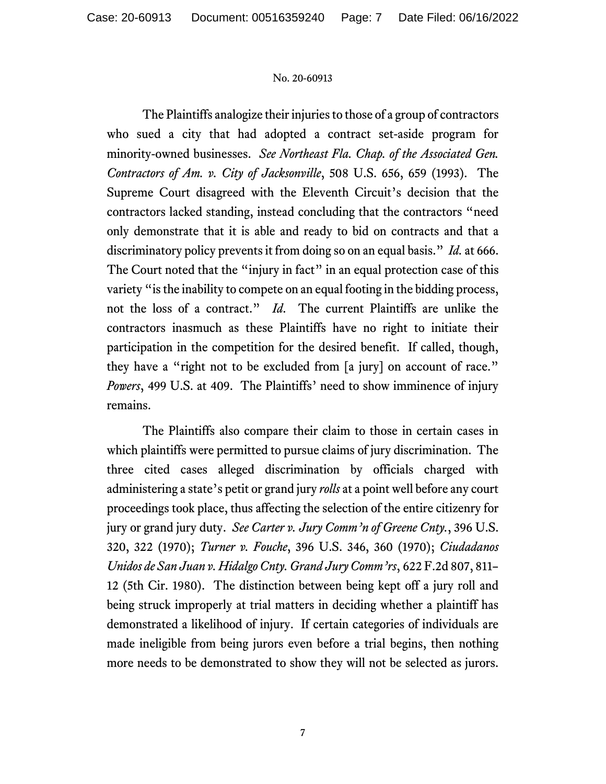The Plaintiffs analogize their injuries to those of a group of contractors who sued a city that had adopted a contract set-aside program for minority-owned businesses. *See Northeast Fla. Chap. of the Associated Gen. Contractors of Am. v. City of Jacksonville*, 508 U.S. 656, 659 (1993). The Supreme Court disagreed with the Eleventh Circuit's decision that the contractors lacked standing, instead concluding that the contractors "need only demonstrate that it is able and ready to bid on contracts and that a discriminatory policy prevents it from doing so on an equal basis." *Id.* at 666. The Court noted that the "injury in fact" in an equal protection case of this variety "is the inability to compete on an equal footing in the bidding process, not the loss of a contract." *Id*. The current Plaintiffs are unlike the contractors inasmuch as these Plaintiffs have no right to initiate their participation in the competition for the desired benefit. If called, though, they have a "right not to be excluded from [a jury] on account of race." *Powers*, 499 U.S. at 409. The Plaintiffs' need to show imminence of injury remains.

The Plaintiffs also compare their claim to those in certain cases in which plaintiffs were permitted to pursue claims of jury discrimination. The three cited cases alleged discrimination by officials charged with administering a state's petit or grand jury *rolls* at a point well before any court proceedings took place, thus affecting the selection of the entire citizenry for jury or grand jury duty. *See Carter v. Jury Comm'n of Greene Cnty.*, 396 U.S. 320, 322 (1970); *Turner v. Fouche*, 396 U.S. 346, 360 (1970); *Ciudadanos Unidos de San Juan v. Hidalgo Cnty. Grand Jury Comm'rs*, 622 F.2d 807, 811– 12 (5th Cir. 1980). The distinction between being kept off a jury roll and being struck improperly at trial matters in deciding whether a plaintiff has demonstrated a likelihood of injury. If certain categories of individuals are made ineligible from being jurors even before a trial begins, then nothing more needs to be demonstrated to show they will not be selected as jurors.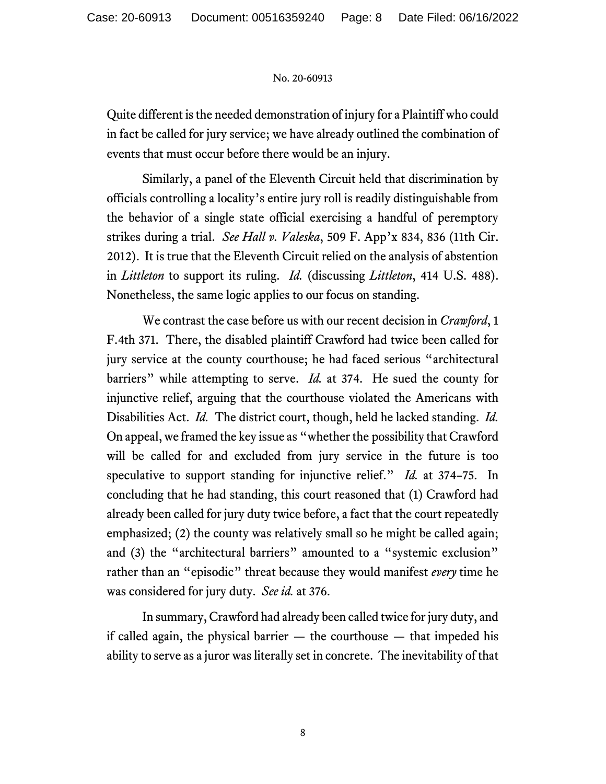Quite different is the needed demonstration of injury for a Plaintiff who could in fact be called for jury service; we have already outlined the combination of events that must occur before there would be an injury.

Similarly, a panel of the Eleventh Circuit held that discrimination by officials controlling a locality's entire jury roll is readily distinguishable from the behavior of a single state official exercising a handful of peremptory strikes during a trial. *See Hall v. Valeska*, 509 F. App'x 834, 836 (11th Cir. 2012). It is true that the Eleventh Circuit relied on the analysis of abstention in *Littleton* to support its ruling. *Id.* (discussing *Littleton*, 414 U.S. 488). Nonetheless, the same logic applies to our focus on standing.

We contrast the case before us with our recent decision in *Crawford*, 1 F.4th 371. There, the disabled plaintiff Crawford had twice been called for jury service at the county courthouse; he had faced serious "architectural barriers" while attempting to serve. *Id.* at 374. He sued the county for injunctive relief, arguing that the courthouse violated the Americans with Disabilities Act. *Id.* The district court, though, held he lacked standing. *Id.*  On appeal, we framed the key issue as "whether the possibility that Crawford will be called for and excluded from jury service in the future is too speculative to support standing for injunctive relief." *Id.* at 374–75. In concluding that he had standing, this court reasoned that (1) Crawford had already been called for jury duty twice before, a fact that the court repeatedly emphasized; (2) the county was relatively small so he might be called again; and (3) the "architectural barriers" amounted to a "systemic exclusion" rather than an "episodic" threat because they would manifest *every* time he was considered for jury duty. *See id.* at 376.

In summary, Crawford had already been called twice for jury duty, and if called again, the physical barrier  $-$  the courthouse  $-$  that impeded his ability to serve as a juror was literally set in concrete. The inevitability of that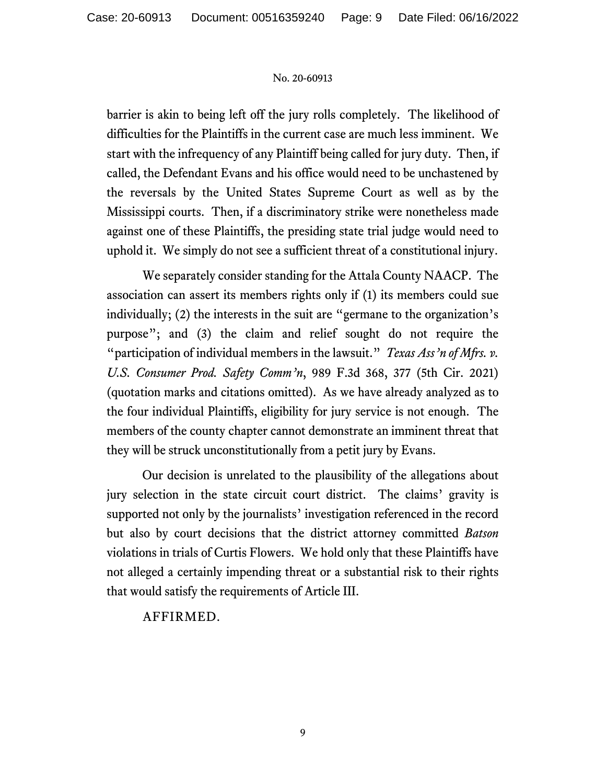barrier is akin to being left off the jury rolls completely. The likelihood of difficulties for the Plaintiffs in the current case are much less imminent. We start with the infrequency of any Plaintiff being called for jury duty. Then, if called, the Defendant Evans and his office would need to be unchastened by the reversals by the United States Supreme Court as well as by the Mississippi courts. Then, if a discriminatory strike were nonetheless made against one of these Plaintiffs, the presiding state trial judge would need to uphold it. We simply do not see a sufficient threat of a constitutional injury.

We separately consider standing for the Attala County NAACP. The association can assert its members rights only if (1) its members could sue individually; (2) the interests in the suit are "germane to the organization's purpose"; and (3) the claim and relief sought do not require the "participation of individual members in the lawsuit." *Texas Ass'n of Mfrs. v. U.S. Consumer Prod. Safety Comm'n*, 989 F.3d 368, 377 (5th Cir. 2021) (quotation marks and citations omitted). As we have already analyzed as to the four individual Plaintiffs, eligibility for jury service is not enough. The members of the county chapter cannot demonstrate an imminent threat that they will be struck unconstitutionally from a petit jury by Evans.

Our decision is unrelated to the plausibility of the allegations about jury selection in the state circuit court district. The claims' gravity is supported not only by the journalists' investigation referenced in the record but also by court decisions that the district attorney committed *Batson*  violations in trials of Curtis Flowers. We hold only that these Plaintiffs have not alleged a certainly impending threat or a substantial risk to their rights that would satisfy the requirements of Article III.

# AFFIRMED.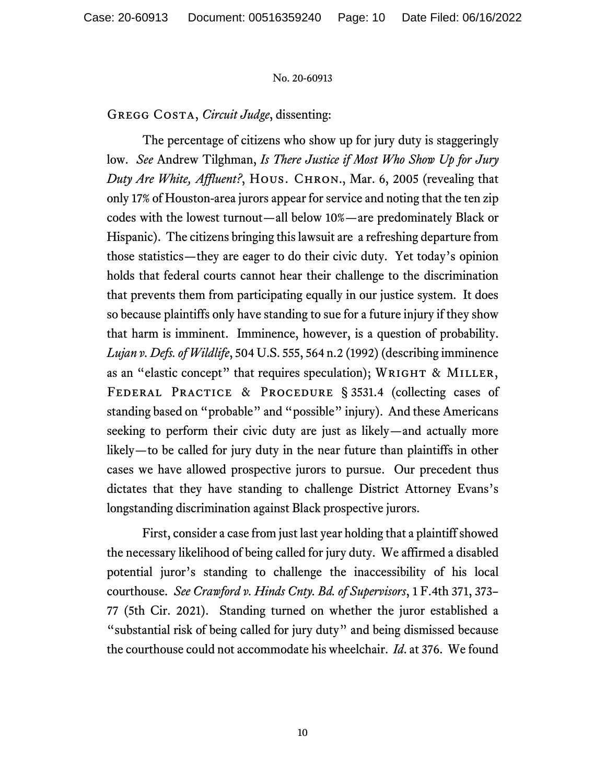Gregg Costa, *Circuit Judge*, dissenting:

The percentage of citizens who show up for jury duty is staggeringly low. *See* Andrew Tilghman, *Is There Justice if Most Who Show Up for Jury Duty Are White, Affluent?*, HOUS. CHRON., Mar. 6, 2005 (revealing that only 17% of Houston-area jurors appear for service and noting that the ten zip codes with the lowest turnout—all below 10%—are predominately Black or Hispanic). The citizens bringing this lawsuit are a refreshing departure from those statistics—they are eager to do their civic duty. Yet today's opinion holds that federal courts cannot hear their challenge to the discrimination that prevents them from participating equally in our justice system. It does so because plaintiffs only have standing to sue for a future injury if they show that harm is imminent. Imminence, however, is a question of probability. *Lujan v. Defs.of Wildlife*, 504 U.S. 555, 564 n.2 (1992) (describing imminence as an "elastic concept" that requires speculation); WRIGHT & MILLER, FEDERAL PRACTICE & PROCEDURE § 3531.4 (collecting cases of standing based on "probable" and "possible" injury). And these Americans seeking to perform their civic duty are just as likely—and actually more likely—to be called for jury duty in the near future than plaintiffs in other cases we have allowed prospective jurors to pursue. Our precedent thus dictates that they have standing to challenge District Attorney Evans's longstanding discrimination against Black prospective jurors.

First, consider a case from just last year holding that a plaintiff showed the necessary likelihood of being called for jury duty. We affirmed a disabled potential juror's standing to challenge the inaccessibility of his local courthouse. *See Crawford v. Hinds Cnty. Bd. of Supervisors*, 1 F.4th 371, 373– 77 (5th Cir. 2021). Standing turned on whether the juror established a "substantial risk of being called for jury duty" and being dismissed because the courthouse could not accommodate his wheelchair. *Id*. at 376. We found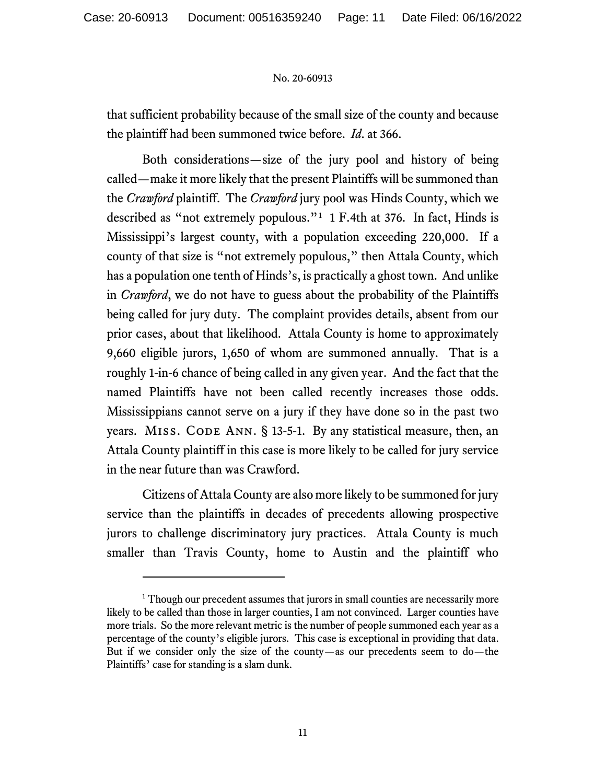that sufficient probability because of the small size of the county and because the plaintiff had been summoned twice before. *Id*. at 366.

Both considerations—size of the jury pool and history of being called—make it more likely that the present Plaintiffs will be summoned than the *Crawford* plaintiff. The *Crawford* jury pool was Hinds County, which we described as "not extremely populous."[1](#page-10-0) 1 F.4th at 376. In fact, Hinds is Mississippi's largest county, with a population exceeding 220,000. If a county of that size is "not extremely populous," then Attala County, which has a population one tenth of Hinds's, is practically a ghost town. And unlike in *Crawford*, we do not have to guess about the probability of the Plaintiffs being called for jury duty. The complaint provides details, absent from our prior cases, about that likelihood. Attala County is home to approximately 9,660 eligible jurors, 1,650 of whom are summoned annually. That is a roughly 1-in-6 chance of being called in any given year. And the fact that the named Plaintiffs have not been called recently increases those odds. Mississippians cannot serve on a jury if they have done so in the past two years. MISS. CODE ANN. § 13-5-1. By any statistical measure, then, an Attala County plaintiff in this case is more likely to be called for jury service in the near future than was Crawford.

Citizens of Attala County are also more likely to be summoned for jury service than the plaintiffs in decades of precedents allowing prospective jurors to challenge discriminatory jury practices. Attala County is much smaller than Travis County, home to Austin and the plaintiff who

<span id="page-10-0"></span><sup>&</sup>lt;sup>1</sup> Though our precedent assumes that jurors in small counties are necessarily more likely to be called than those in larger counties, I am not convinced. Larger counties have more trials. So the more relevant metric is the number of people summoned each year as a percentage of the county's eligible jurors. This case is exceptional in providing that data. But if we consider only the size of the county—as our precedents seem to do—the Plaintiffs' case for standing is a slam dunk.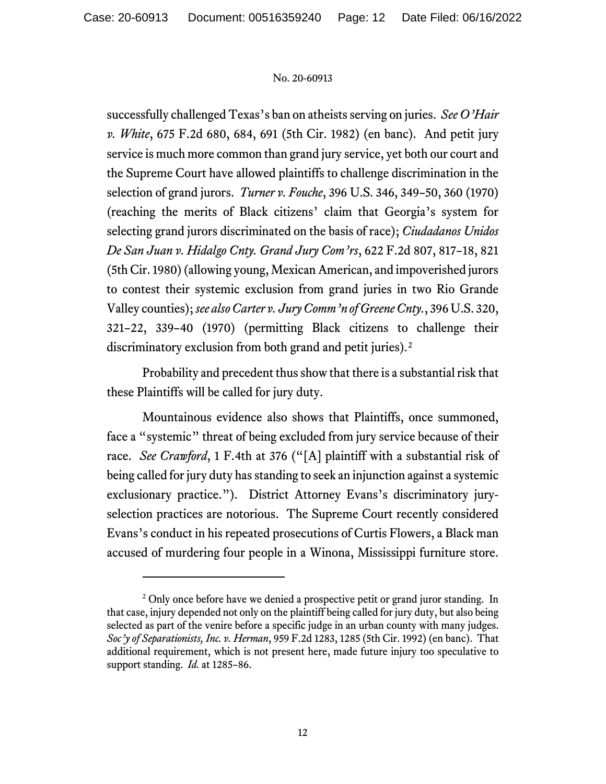successfully challenged Texas's ban on atheists serving on juries. *See O'Hair v. White*, 675 F.2d 680, 684, 691 (5th Cir. 1982) (en banc). And petit jury service is much more common than grand jury service, yet both our court and the Supreme Court have allowed plaintiffs to challenge discrimination in the selection of grand jurors. *Turner v. Fouche*, 396 U.S. 346, 349–50, 360 (1970) (reaching the merits of Black citizens' claim that Georgia's system for selecting grand jurors discriminated on the basis of race); *Ciudadanos Unidos De San Juan v. Hidalgo Cnty. Grand Jury Com'rs*, 622 F.2d 807, 817–18, 821 (5th Cir. 1980)(allowing young, Mexican American, and impoverished jurors to contest their systemic exclusion from grand juries in two Rio Grande Valley counties); *see also Carter v. Jury Comm'n of Greene Cnty.*, 396 U.S. 320, 321–22, 339–40 (1970) (permitting Black citizens to challenge their discriminatory exclusion from both grand and petit juries).<sup>[2](#page-11-0)</sup>

Probability and precedent thus show that there is a substantial risk that these Plaintiffs will be called for jury duty.

Mountainous evidence also shows that Plaintiffs, once summoned, face a "systemic" threat of being excluded from jury service because of their race. *See Crawford*, 1 F.4th at 376 ("[A] plaintiff with a substantial risk of being called for jury duty has standing to seek an injunction against a systemic exclusionary practice."). District Attorney Evans's discriminatory juryselection practices are notorious. The Supreme Court recently considered Evans's conduct in his repeated prosecutions of Curtis Flowers, a Black man accused of murdering four people in a Winona, Mississippi furniture store.

<span id="page-11-0"></span><sup>&</sup>lt;sup>2</sup> Only once before have we denied a prospective petit or grand juror standing. In that case, injury depended not only on the plaintiff being called for jury duty, but also being selected as part of the venire before a specific judge in an urban county with many judges. *Soc'y of Separationists, Inc. v. Herman*, 959 F.2d 1283, 1285 (5th Cir. 1992) (en banc). That additional requirement, which is not present here, made future injury too speculative to support standing. *Id.* at 1285–86.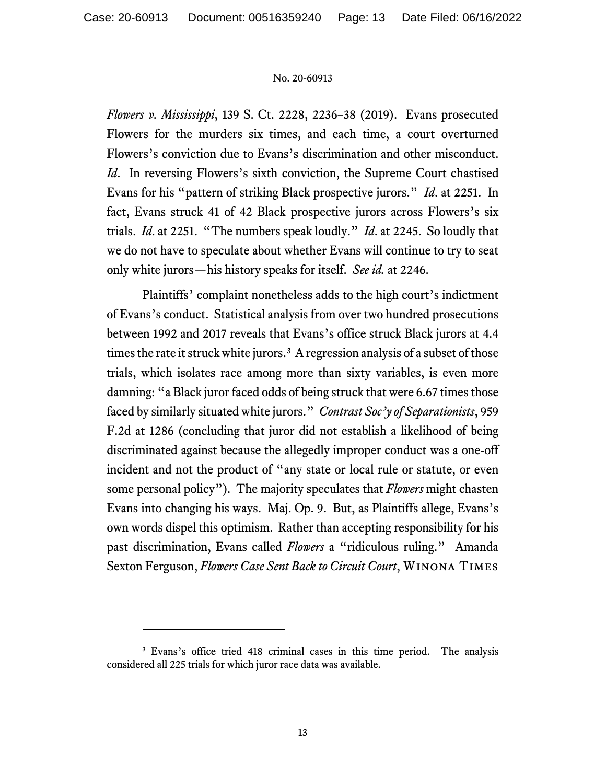*Flowers v. Mississippi*, 139 S. Ct. 2228, 2236–38 (2019). Evans prosecuted Flowers for the murders six times, and each time, a court overturned Flowers's conviction due to Evans's discrimination and other misconduct. *Id.* In reversing Flowers's sixth conviction, the Supreme Court chastised Evans for his "pattern of striking Black prospective jurors." *Id*. at 2251. In fact, Evans struck 41 of 42 Black prospective jurors across Flowers's six trials. *Id*. at 2251. "The numbers speak loudly." *Id*. at 2245. So loudly that we do not have to speculate about whether Evans will continue to try to seat only white jurors—his history speaks for itself. *See id.* at 2246.

Plaintiffs' complaint nonetheless adds to the high court's indictment of Evans's conduct. Statistical analysis from over two hundred prosecutions between 1992 and 2017 reveals that Evans's office struck Black jurors at 4.4 times the rate it struck white jurors.<sup>[3](#page-12-0)</sup> A regression analysis of a subset of those trials, which isolates race among more than sixty variables, is even more damning: "a Black juror faced odds of being struck that were 6.67 times those faced by similarly situated white jurors." *Contrast Soc'y of Separationists*, 959 F.2d at 1286 (concluding that juror did not establish a likelihood of being discriminated against because the allegedly improper conduct was a one-off incident and not the product of "any state or local rule or statute, or even some personal policy"). The majority speculates that *Flowers* might chasten Evans into changing his ways. Maj. Op. 9. But, as Plaintiffs allege, Evans's own words dispel this optimism. Rather than accepting responsibility for his past discrimination, Evans called *Flowers* a "ridiculous ruling." Amanda Sexton Ferguson, *Flowers Case Sent Back to Circuit Court*, Winona Times

<span id="page-12-0"></span><sup>3</sup> Evans's office tried 418 criminal cases in this time period. The analysis considered all 225 trials for which juror race data was available.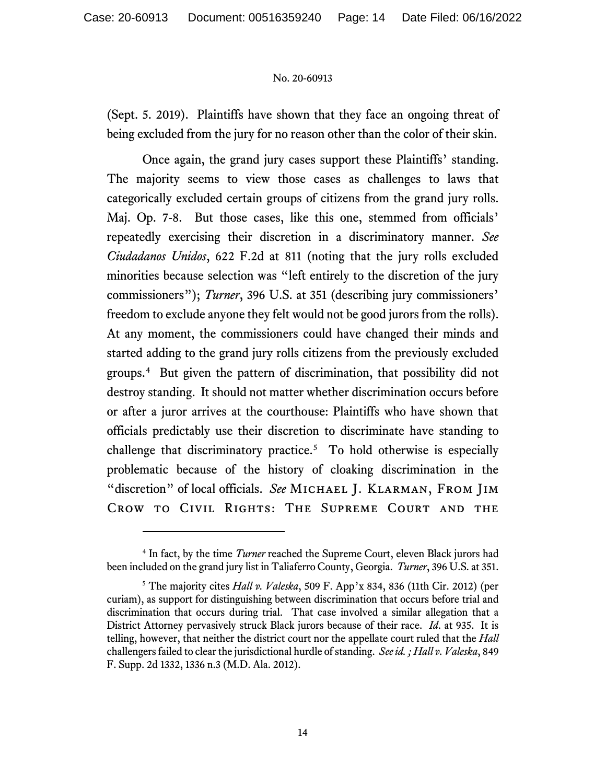(Sept. 5. 2019). Plaintiffs have shown that they face an ongoing threat of being excluded from the jury for no reason other than the color of their skin.

Once again, the grand jury cases support these Plaintiffs' standing. The majority seems to view those cases as challenges to laws that categorically excluded certain groups of citizens from the grand jury rolls. Maj. Op. 7-8. But those cases, like this one, stemmed from officials' repeatedly exercising their discretion in a discriminatory manner. *See Ciudadanos Unidos*, 622 F.2d at 811 (noting that the jury rolls excluded minorities because selection was "left entirely to the discretion of the jury commissioners"); *Turner*, 396 U.S. at 351 (describing jury commissioners' freedom to exclude anyone they felt would not be good jurors from the rolls). At any moment, the commissioners could have changed their minds and started adding to the grand jury rolls citizens from the previously excluded groups.[4](#page-13-0) But given the pattern of discrimination, that possibility did not destroy standing. It should not matter whether discrimination occurs before or after a juror arrives at the courthouse: Plaintiffs who have shown that officials predictably use their discretion to discriminate have standing to challenge that discriminatory practice.<sup>[5](#page-13-1)</sup> To hold otherwise is especially problematic because of the history of cloaking discrimination in the "discretion" of local officials. *See* MICHAEL J. KLARMAN, FROM JIM Crow to Civil Rights: The Supreme Court and the

<span id="page-13-0"></span><sup>4</sup> In fact, by the time *Turner* reached the Supreme Court, eleven Black jurors had been included on the grand jury list in Taliaferro County, Georgia. *Turner*, 396 U.S. at 351.

<span id="page-13-1"></span><sup>5</sup> The majority cites *Hall v. Valeska*, 509 F. App'x 834, 836 (11th Cir. 2012) (per curiam), as support for distinguishing between discrimination that occurs before trial and discrimination that occurs during trial. That case involved a similar allegation that a District Attorney pervasively struck Black jurors because of their race. *Id*. at 935. It is telling, however, that neither the district court nor the appellate court ruled that the *Hall*  challengers failed to clear the jurisdictional hurdle of standing. *See id. ; Hall v. Valeska*, 849 F. Supp. 2d 1332, 1336 n.3 (M.D. Ala. 2012).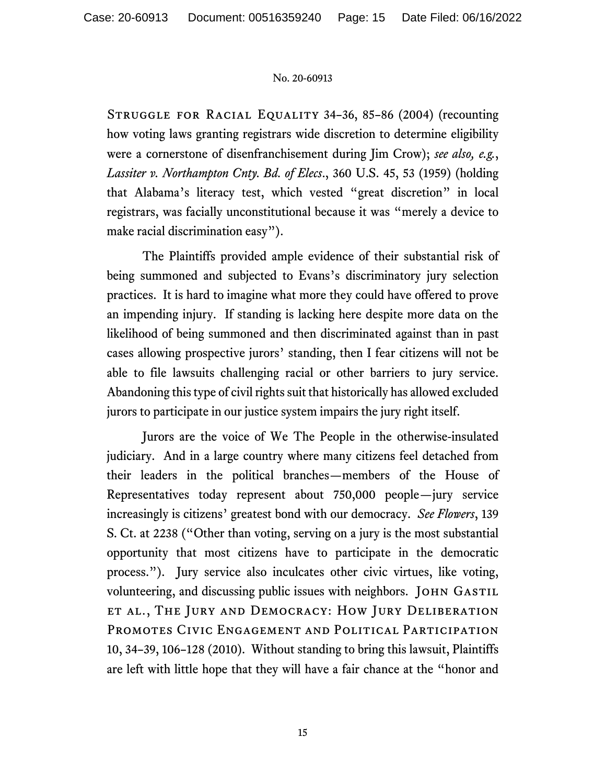Struggle for Racial Equality 34–36, 85–86 (2004) (recounting how voting laws granting registrars wide discretion to determine eligibility were a cornerstone of disenfranchisement during Jim Crow); *see also, e.g.*, *Lassiter v. Northampton Cnty. Bd. of Elecs*., 360 U.S. 45, 53 (1959) (holding that Alabama's literacy test, which vested "great discretion" in local registrars, was facially unconstitutional because it was "merely a device to make racial discrimination easy").

The Plaintiffs provided ample evidence of their substantial risk of being summoned and subjected to Evans's discriminatory jury selection practices. It is hard to imagine what more they could have offered to prove an impending injury. If standing is lacking here despite more data on the likelihood of being summoned and then discriminated against than in past cases allowing prospective jurors' standing, then I fear citizens will not be able to file lawsuits challenging racial or other barriers to jury service. Abandoning this type of civil rights suit that historically has allowed excluded jurors to participate in our justice system impairs the jury right itself.

Jurors are the voice of We The People in the otherwise-insulated judiciary. And in a large country where many citizens feel detached from their leaders in the political branches—members of the House of Representatives today represent about 750,000 people—jury service increasingly is citizens' greatest bond with our democracy. *See Flowers*, 139 S. Ct. at 2238 ("Other than voting, serving on a jury is the most substantial opportunity that most citizens have to participate in the democratic process."). Jury service also inculcates other civic virtues, like voting, volunteering, and discussing public issues with neighbors. JOHN GASTIL et al., The Jury and Democracy: How Jury Deliberation Promotes Civic Engagement and Political Participation 10, 34–39, 106–128 (2010). Without standing to bring this lawsuit, Plaintiffs are left with little hope that they will have a fair chance at the "honor and